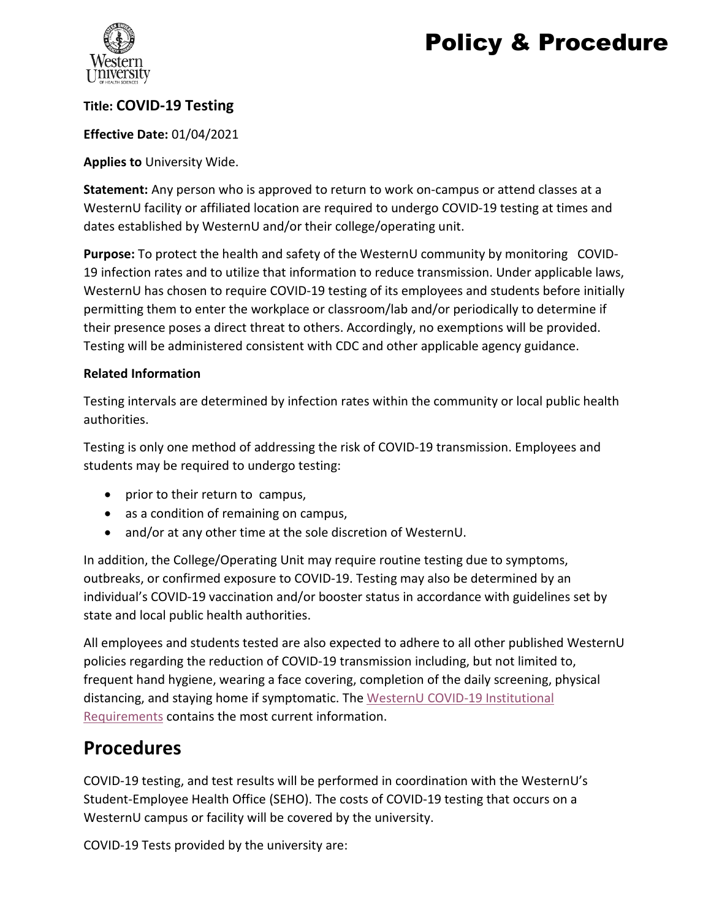# Policy & Procedure



### **Title: COVID-19 Testing**

#### **Effective Date:** 01/04/2021

#### **Applies to** University Wide.

**Statement:** Any person who is approved to return to work on-campus or attend classes at a WesternU facility or affiliated location are required to undergo COVID-19 testing at times and dates established by WesternU and/or their college/operating unit.

**Purpose:** To protect the health and safety of the WesternU community by monitoring COVID-19 infection rates and to utilize that information to reduce transmission. Under applicable laws, WesternU has chosen to require COVID-19 testing of its employees and students before initially permitting them to enter the workplace or classroom/lab and/or periodically to determine if their presence poses a direct threat to others. Accordingly, no exemptions will be provided. Testing will be administered consistent with CDC and other applicable agency guidance.

#### **Related Information**

Testing intervals are determined by infection rates within the community or local public health authorities.

Testing is only one method of addressing the risk of COVID-19 transmission. Employees and students may be required to undergo testing:

- prior to their return to campus,
- as a condition of remaining on campus,
- and/or at any other time at the sole discretion of WesternU.

In addition, the College/Operating Unit may require routine testing due to symptoms, outbreaks, or confirmed exposure to COVID-19. Testing may also be determined by an individual's COVID-19 vaccination and/or booster status in accordance with guidelines set by state and local public health authorities.

All employees and students tested are also expected to adhere to all other published WesternU policies regarding the reduction of COVID-19 transmission including, but not limited to, frequent hand hygiene, wearing a face covering, completion of the daily screening, physical distancing, and staying home if symptomatic. The WesternU COVID-19 Institutional [Requirements](https://www.westernu.edu/media/covid-19/pdfs/institutional-requirements-for-westernu.pdf) contains the most current information.

## **Procedures**

COVID-19 testing, and test results will be performed in coordination with the WesternU's Student-Employee Health Office (SEHO). The costs of COVID-19 testing that occurs on a WesternU campus or facility will be covered by the university.

COVID-19 Tests provided by the university are: